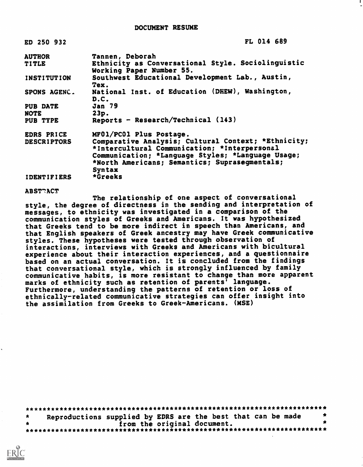| ED 250 932         | FL 014 689                                                                     |
|--------------------|--------------------------------------------------------------------------------|
| <b>AUTHOR</b>      | Tannen, Deborah                                                                |
| TITLE              | Ethnicity as Conversational Style. Sociolinguistic<br>Working Paper Number 55. |
| <b>INSTITUTION</b> | Southwest Educational Development Lab., Austin,<br>Tex.                        |
| SPONS AGENC.       | National Inst. of Education (DHEW), Washington,<br>D.C.                        |
| PUB DATE           | <b>Jan 79</b>                                                                  |
| <b>NOTE</b>        | 23p.                                                                           |
| PUB TYPE           | Reports - Research/Technical $(143)$                                           |
| EDRS PRICE         | MF01/PC01 Plus Postage.                                                        |
| <b>DESCRIPTORS</b> | Comparative Analysis; Cultural Context; *Ethnicity;                            |
|                    | *Intercultural Communication; *Interpersonal                                   |
|                    | Communication; *Language Styles; *Language Usage;                              |
|                    | *North Americans; Semantics; Suprasegmentals;                                  |
|                    |                                                                                |
|                    | Syntax                                                                         |
| <b>IDENTIFIERS</b> | *Greeks                                                                        |

ABST"ACT

The relationship of one aspect of conversational style, the degree of directness in the sending and interpretation of messages, to ethnicity was investigated in a comparison of the communication styles of Greeks and Americans. It was hypothesized that Greeks tend to be more indirect in speech than Americans, and that English speakers of Greek ancestry may have Greek communicative styles. These hypotheses were tested through observation of interactions, interviews with Greeks and Americans with bicultural experience about their interaction experiences, and a questionnaire based on an actual conversation. It is concluded from the findings that conversational style, which is strongly influenced by family communicative habits, is more resistant to change than more apparent marks of ethnicity such as retention of parents' language. Furthermore, understanding the patterns of retention or loss of ethnically-related communicative strategies can offer insight into the assimilation from Greeks to Greek-Americans. (MSE)

| 大 | Reproductions supplied by EDRS are the best that can be made |  |                             |  |  |  |  |  |
|---|--------------------------------------------------------------|--|-----------------------------|--|--|--|--|--|
|   |                                                              |  | from the original document. |  |  |  |  |  |
|   |                                                              |  |                             |  |  |  |  |  |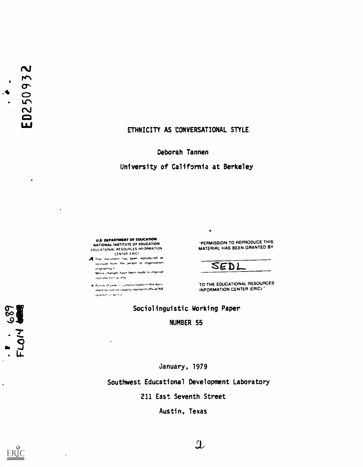$\bullet$ 

# ETHNICITY AS CONVERSATIONAL STYLE

Deborah Tannen

# University of California at Berkeley

U.S. DEPARTMENT OF EDUCATION NATIONAL INSTITUTE OF EDUCATION EDLKATKINRI RESOURCES INFORMATION CENTER (ERIC)

A This document has been reproduced as received from the person or organization. conginating it Minux changes have been made to improve , reproduction in alty-

 $\bullet$  Promis of vane or openions stated in this docuevient do not necessarily represent official NIE. position or policy.

-PERMISSION TO REPRODUCE THIS MATERIAL HAS BEEN GRANTED BY

 $\bullet$ 

SED,

TO THE EDUCATIONAL RESOURCES INFORMATION CENTER (ERIC).

# Sociolinguistic Working Paper

NUMBER 55

January, 1979

Southwest Educational Development Laboratory

211 East. Seventh Street

Austin, Texas

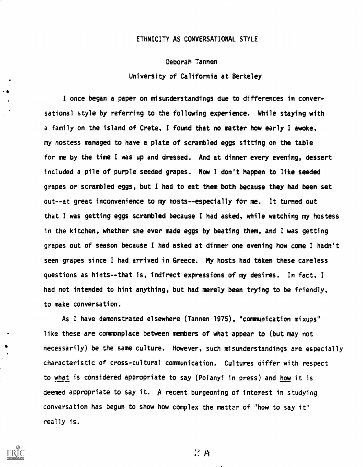#### ETHNICITY AS CONVERSATIONAL STYLE

Deborah Tannen University of California at Berkeley

I once began a paper on misunderstandings due to differences in conversational style by referring to the following experience. While staying with a family on the island of Crete, I found that no matter how early I awoke, my hostess managed to have a plate of scrambled eggs sitting on the table for me by the time I was up and dressed. And at dinner every evening, dessert included a pile of purple seeded grapes. Now I don't happen to like seeded grapes or scrambled eggs, but I had to eat them both because they had been set out--at great inconvenience to my hosts--especially for me. It turned out that I was getting eggs scrambled because I had asked, while watching my hostess in the kitchen, whether she ever made eggs by beating them, and I was getting grapes out of season because I had asked at dinner one evening how come I hadn't seen grapes since I had arrived in Greece. My hosts had taken these careless questions as hints--that is, indirect expressions of my desires. In fact, I had not intended to hint anything, but had merely been trying to be friendly, to make conversation.

As I have demonstrated elsewhere (Tannen 1975), "communication mixups" like these are commonplace between members of what appear to (but may not necessarily) be the same culture. However, such misunderstandings are especially characteristic of cross-cultural communication. Cultures differ with respect to what is considered appropriate to say (Polanyi in press) and how it is deemed appropriate to say it. A recent burgeoning of interest in studying conversation has begun to show how complex the matter of "how to say it" really is.

 $2A$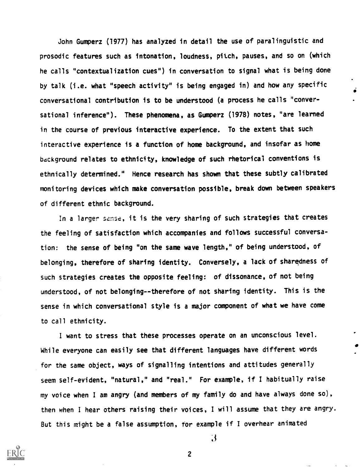John Gumperz (1977) has analyzed in detail the use of paralinguistic and prosodic features such as intonation, loudness, pitch, pauses, and so on (which he calls "contextualization cues") in conversation to signal what is being done by talk (i.e. what "speech activity" is being engaged in) and how any specific conversational contribution is to be understood (a process he calls "conversational inference"). These phenomena, as Gumperz (1978) notes, "are learned in the course of previous interactive experience. To the extent that such interactive experience is a function of home background, and insofar as home background relates to ethnicity, knowledge of such rhetorical conventions is ethnically determined." Hence research has shown that these subtly calibrated monitoring devices which make conversation possible, break down between speakers of different ethnic background.

In a larger sense, it is the very sharing of such strategies that creates the feeling of satisfaction which accompanies and follows successful conversation: the sense of being "on the same wave length," of being understood, of belonging, therefore of sharing identity. Conversely, a lack of sharedness of such strategies creates the opposite feeling: of dissonance, of not being understood, of not belonging--therefore of not sharing identity. This is the sense in which conversational style is a major component of what we have come to call ethnicity.

I want to stress that these processes operate on an unconscious level. While everyone can easily see that different languages have different words for the same object, ways of signalling intentions and attitudes generally seem self-evident, "natural," and "real." For example, if I habitually raise my voice when I am angry (and members of my family do and have always done so), then when I hear others raising their voices, I will assume that they are angry. But this might be a false assumption, for example if I overhear animated



2

 $\ddot{\cdot}$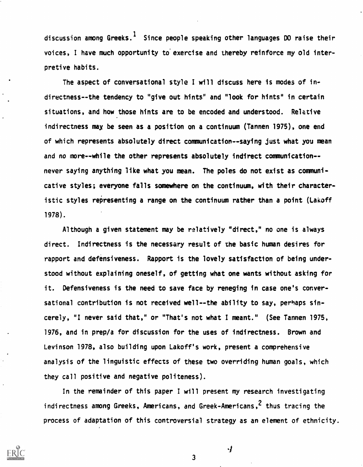discussion among Greeks. $<sup>1</sup>$  Since people speaking other languages DO raise their</sup> voices, I have much opportunity to-exercise and thereby reinforce my old interpretive habits.

The aspect of conversational style I will discuss here is modes of indirectness--the tendency to "give out hints" and "look for hints" in certain situations, and how those hints are to be encoded and understood. Relative indirectness may be seen as a position on a continuum (Tannen 1975), one end of which represents absolutely direct communication--saying just what you mean and no more--while the other represents absolutely indirect communication-never saying anything like what you mean. The poles do not exist as communicative styles; everyone falls somewhere on the continuum, with their characteristic styles representing a range on the continuum rather than a point (Lakoff 1978).

Although a given statement may be relatively "direct," no one is always direct. Indirectness is the necessary result of the basic human desires for rapport and defensiveness. Rapport is the lovely satisfaction of being understood without explaining oneself, of getting what one wants without asking for it. Defensiveness is the need to save face by reneging in case one's conversational contribution is not received well--the ability to say, perhaps sincerely, "I never said that," or "That's not what I meant." (See Tannen 1975, 1976, and in prep/a for discussion for the uses of indirectness. Brown and Levinson 1978, also building upon Lakoff's work, present a comprehensive analysis of the linguistic effects of these two overriding human goals, which they call positive and negative politeness).

In the remainder of this paper I will present my research investigating indirectness among Greeks, Americans, and Greek-Americans,  $2$  thus tracing the process of adaptation of this controversial strategy as an element of ethnicity.

4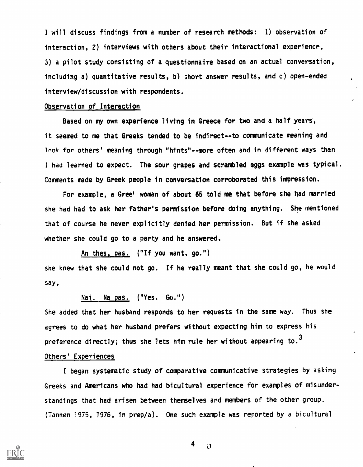I will discuss findings from a number of research methods: 1) observation of interaction, 2) interviews with others about their interactional experience. 3) a pilot study consisting of a questionnaire based on an actual conversation, including a) quantitative results, b) short answer results, and c) open-ended interview/discussion with respondents.

## Observation of Interaction

Based on my own experience living in Greece for two and a half years', it seemed to me that Greeks tended to be indirect--to communicate meaning and look for others' meaning through "hints"--more often and in different ways than I had learned to expect. The sour grapes and scrambled eggs example was typical. Comments made by Greek people in conversation corroborated this impression.

For example, a Gree' woman of about 65 told me that before she had married she had had to ask her father's permission before doing anything. She mentioned that of course he never explicitly denied her permission. But if she asked whether she could go to a party and he answered,

An thes, pas. ("If you want, go.") she knew that she could not go. If he really meant that she could go, he would say,

# Nai. Na pas. ("Yes. Go.")

She added that her husband responds to her requests in the same way. Thus she agrees to do what her husband prefers without expecting him to express his preference directly; thus she lets him rule her without appearing to.<sup>3</sup>

## Others' Experiences

I began systematic study of comparative communicative strategies by asking Greeks and Americans who had had bicultural experience for examples of misunderstandings that had arisen between themselves and members of the other group. (Tannen 1975, 1976, in prep/a). One such example was reported by a bicultural



4 $\ddot{\mathbf{J}}$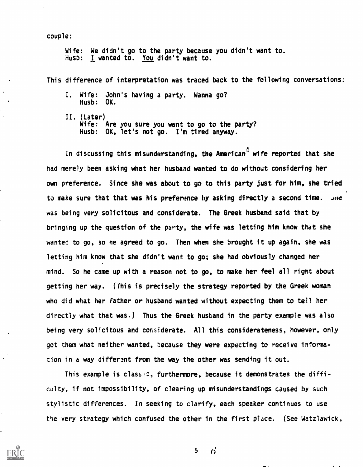couple:

Wife: We didn't go to the party because you didn't want to. Husb: I wanted to. You didn't want to.

This difference of interpretation was traced back to the following conversations:

- I. Wife: John's having a party. Wanna go? Husb:
- II. (Later) Wife: Are you sure you want to go to the party? Husb: OK, let's not go. I'm tired anyway.

In discussing this misunderstanding, the American $^{\texttt{4}}$  wife reported that she had merely been asking what her husband wanted to do without considering her own preference. Since she was about to go to this party just for him, she tried to make sure that that was his preference by asking directly a second time. Sume was being very solicitous and considerate. The Greek husband said that by bringing up the question of the party, the wife was letting him know that she wanted to go, so he agreed to go. Then when she brought it up again, she was letting him know that she didn't want to go; she had obviously changed her mind. So he came up with a reason not to go, to make her feel all right about getting her way. (This is precisely the strategy reported by the Greek woman who did what her father or husband wanted without expecting them to tell her directly what that was.) Thus the Greek husband in the party example was also being very solicitous and considerate. All this considerateness, however, only got them what neither wanted, because they were expecting to receive information in a way different from the way the other was sending it out.

This example is classed, furthermore, because it demonstrates the difficulty, if not impossibility, of clearing up misunderstandings caused by such stylistic differences. In seeking to clarify, each speaker continues to use the very strategy which confused the other in the first place. (See Watzlawick,

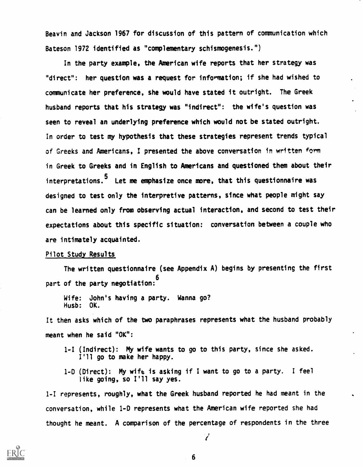Beavin and Jackson 1967 for discussion of this pattern of communication which Bateson 1972 identified as "complementary schismogenesis.")

In the party example, the American wife reports that her strategy was "direct": her question was a request for information; if she had wished to communicate her preference, she would have stated it outright. The Greek husband reports that his strategy was "indirect": the wife's question was seen to reveal an underlying preference which would not be stated outright. In order to test my hypothesis that these strategies represent trends typical of Greeks and Americans, I presented the above conversation in written form in Greek to Greeks and in English to Americans and questioned them about their interpretations.<sup>5</sup> Let me emphasize once more, that this questionnaire was designed to test only the interpretive patterns, since what people might say can be learned only from observing actual interaction, and second to test their expectations about this specific situation: conversation between a couple who are intimately acquainted.

### Pilot Study Results

The written questionnaire (see Appendix A) begins by presenting the first part of the party negotiation: 6

Wife: John's having a party. Wanna go? Husb: OK.

It then asks which of the two paraphrases represents what the husband probably meant when he said "OK":

- 1-I (Indirect): My wife wants to go to this party, since she asked. I'll go to make her happy.
- 1-D (Direct): My wife is asking if I want to go to a party. I feel like going, so I'll say yes.

1-I represents, roughly, what the Greek husband reported he had meant in the conversation, while 1-D represents what the American wife reported she had thought he meant. A comparison of the percentage of respondents in the three



6

 $\mathcal{C}_{\mathcal{C}}$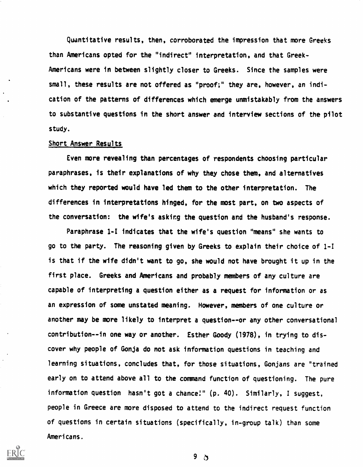Quantitative results, then, corroborated the impression that more Greeks than Americans opted for the "indirect" interpretation, and that Greek-Americans were in between slightly closer to Greeks. Since the samples were small, these results are not offered as "proof;" they are, however, an indication of the patterns of differences which emerge unmistakably from the answers to substantive questions in the short answer and interview sections of the pilot study.

## Short Answer Results

Even more revealing than percentages of respondents choosing particular paraphrases, is their explanations of why they chose them, and alternatives which they reported would have led them to the other interpretation. The differences in interpretations hinged, for the most part, on two aspects of the conversation: the wife's asking the question and the husband's response.

Paraphrase 1-I indicates that the wife's question "means" she wants to go to the party. The reasoning given by Greeks to explain their choice of 1-I is that if the wife didn't want to go, she would not have brought it up in the first place. Greeks and Americans and probably members of any culture are capable of interpreting a question either as a request for information or as an expression of some unstated meaning. However, members of one culture or another may be more likely to interpret a question--or any other conversational contribution--in one way or another. Esther Goody (1978), in trying to discover why people of Gonja do not ask information questions in teaching and learning situations, concludes that, for those situations, Gonjans are "trained early on to attend above all to the command function of questioning. The pure information question hasn't got a chance:" (p. 40). Similarly, I suggest, people in Greece are more disposed to attend to the indirect request function of questions in certain situations (specifically, in-group talk) than some Americans.

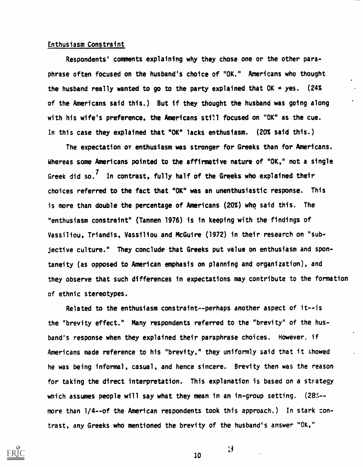## Enthusiasm Constraint

Respondents' comments explaining why they chose one or the other paraphrase often focused on the husband's choice of "OK." Americans who thought the husband really wanted to go to the party explained that  $0K = yes.$  (24%) of the Americans said this.) But if they thought the husband was going along with his wife's preference, the Americans still focused on "OK" as the cue. In this case they explained that "OK" lacks enthusiasm. (20% said this.)

The expectation or enthusiasm was stronger for Greeks than for Americans. Whereas some Americans pointed to the affirmative nature of "OK," not a single Greek did so. <sup>7</sup> In contrast, fully half of the Greeks who explained their choices referred to the fact that "OK" was an unenthusiastic response. This is more than double the percentage of Americans (20%) who said this. The "enthusiasm constraint" (Tannen 1976) is in keeping with the findings of Vassiliou, Triandis, Vassiliou and McGuire (1972) in their research on "subjective culture." They conclude that Greeks put value on enthusiasm and spontaneity (as opposed to American emphasis on planning and organization), and they observe that such differences in expectations may contribute to the formation of ethnic stereotypes.

Related to the enthusiasm constraint--perhaps another aspect of it--is the "brevity effect." Many respondents referred to the "brevity" of the husband's response when they explained their paraphrase choices. However, if Americans made reference to his "brevity," they uniformly said that it showed he was being informal, casual, and hence sincere. Brevity then was the reason for taking the direct interpretation. This explanation is based on a strategy which assumes people will say what they mean in an in-group setting. (28%-more than 1/4--of the American respondents took this approach.) In stark contrast, any Greeks who mentioned the brevity of the husband's answer "OK,"

10

 $\mathbf{H}$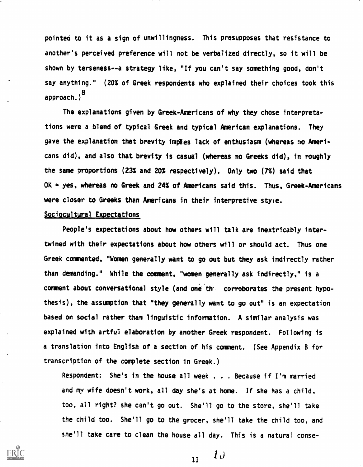pointed to it as a sign of unwillingness. This presupposes that resistance to another's perceived preference will not be verbalized directly, so it will be shown by terseness--a strategy like, "If you can't say something good, don't say anything." (20% of Greek respondents who explained their choices took this approach.) 8

The explanations given by Greek-Americans of why they chose interpretations were a blend of typical Greek and typical American explanations. They gave the explanation that brevity implies lack of enthusiasm (whereas no Americans did), and also that brevity is casual (whereas no Greeks did), in roughly the same proportions (23% and 20% respectively). Only two (7%) said that OK  $=$  yes, whereas no Greek and 24% of Americans said this. Thus, Greek-Americans were closer to Greeks than Americans in their interpretive style.

# Sociocultural Expectations

People's expectations about how others will talk are inextricably intertwined with their expectations about how others will or should act. Thus one Greek commented, "Women generally want to go out but they ask indirectly rather than demanding." While the comment, "women generally ask indirectly," is a comment about conversational style (and one the corroborates the present hypothesis), the assumption that "they generally want to go out" is an expectation based on social rather than linguistic information. A similar analysis was explained with artful elaboration by another Greek respondent. Following is a translation into English of a section of his comment. (See Appendix B for transcription of the complete section in Greek.)

Respondent: She's in the house all week . . . Because if I'm married and my wife doesn't work, all day she's at home. If she has a child, too, all right? she can't go out. She'll go to the store, she'll take the child too. She'll go to the grocer, she'll take the child too, and she'll take care to clean the house all day. This is a natural conse-

> $1<sub>0</sub>$ 11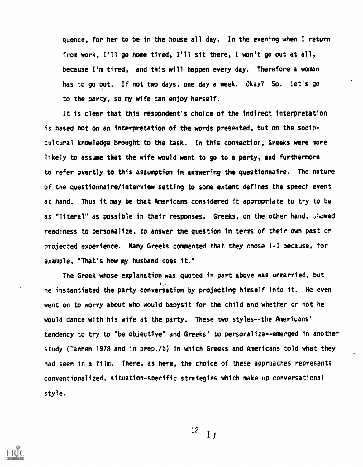quence, for her to be in the house all day. In the evening when I return from work,  $I'11$  go home tired,  $I'11$  sit there, I won't go out at all, because I'm tired, and this will happen every day. Therefore a woman has to go out. If not two days, one day a week. Okay? So. Let's go to the party, so my wife can enjoy herself.

It is clear that this respondent's choice of the indirect interpretation is based not on an interpretation of the words presented, but on the sociocultural knowledge brought to the task. In this connection, Greeks were more likely to assume that the wife would want to go to a party, and furthermore to refer overtly to this assumption in answering the questionnaire. The nature of the questionnaire/interview setting to some extent defines the speech event at hand. Thus it may be that Americans considered it appropriate to try to be as "literal" as possible in their responses. Greeks, on the other hand,  $\sin$ wed readiness to personalize, to answer the question in terms of their own past or projected experience. Many Greeks commented that they chose 1-I because, for example, "That's how my husband does it."

The Greek whose explanation was quoted in part above was unmarried, but he instantiated the party conversation by projecting himself into it. He even went on to worry about who would babysit for the child and whether or not he would dance with his wife at the party. These two styles--the Americans' tendency to try to "be objective" and Greeks' to personalize--emerged in another study (Tannen 1978 and in prep./b) in which Greeks and Americans told what they had seen in a film. There, as here, the choice of these approaches represents conventionalized, situation-specific strategies which make up conversational style.

> $12 \overline{ }$  $1<sub>1</sub>$

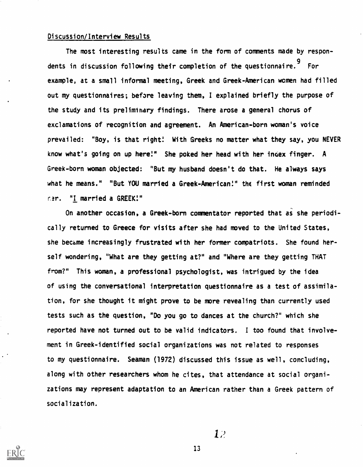## Discussion/Interview Results

The most interesting results came in the form of comments made by respondents in discussion following their completion of the questionnaire. 9 <sub>Pau</sub> For example, at a small informal meeting, Greek and Greek-American women had filled out my questionnaires; before leaving them, I explained briefly the purpose of the study and its preliminary findings. There arose a general chorus of exclamations of recognition and agreement. An American-born woman's voice prevailed: "Boy, is that right! With Greeks no matter what they say, you NEVER know what's going on up here!" She poked her head with her inoex finger. A Greek-born woman objected: "But my husband doesn't do that. He always says what he means." "But YOU married a Greek-American!" the first woman reminded rar. "I married a GREEK!"

On another occasion, a Greek-born commentator reported that as she periodically returned to Greece for visits after she had moved to the United States, she became increasingly frustrated with her former compatriots. She found herself wondering, "What are they getting at?" and "Where are they getting THAT from?" This woman, a professional psychologist, was intrigued by the idea of using the conversational interpretation questionnaire as a test of assimilation, for she thought it might prove to be more revealing than currently used tests such as the question, "Do you go to dances at the church?" which she reported have not turned out to be valid indicators. <sup>I</sup> too found that involvement in Greek-identified social organizations was not related to responses to my questionnaire. Seaman (1972) discussed this issue as well, concluding, along with other researchers whom he cites, that attendance at social organizations may represent adaptation to an American rather than a Greek pattern of socialization.



1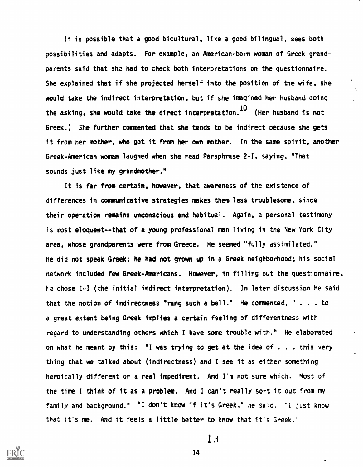It is possible that a good bicultural, like a good bilingual, sees both possibilities and adapts. For example, an American-born woman of Greek grandparents said that she had to check both interpretations on the questionnaire. She explained that if she projected herself into the position of the wife, she would take the indirect interpretation, but if she imagined her husband doing the asking, she would take the direct interpretation. 10 (Her husband is not Greek.) She further commented that she tends to be indirect oecause she gets it from her mother, who got it from her own mother. In the same spirit, another Greek-American woman laughed when she read Paraphrase 2 -I, saying, "That sounds just like my grandmother."

It is far from certain, however, that awareness of the existence of differences in communicative strategies makes them less truublesome, since their operation remains unconscious and habitual. Again, a personal testimony is most eloquent--that of a young professional man living in the New York City area, whose grandparents were from Greece. He seemed "fully assimilated." He did not speak Greek; he had not grown up in a Greek neighborhood; his social network included few Greek-Americans. However, in filling out the questionnaire, te chose  $1-1$  (the initial indirect interpretation). In later discussion he said that the notion of indirectness "rang such a bell." He commented, " $\ldots$  to a great extent being Greek implies a certain feeling of differentness with regard to understanding others which I have some trouble with." He elaborated on what he meant by this: "I was trying to get at the idea of . . this very thing that we talked about (indirectness) and I see it as either something heroically different or a real impediment. And I'm not sure which. Most of the time I think of it as a problem. And I can't really sort it out from my family and background." "I don't know if it's Greek," he said. "I just know that it's me. And it feels a little better to know that it's Greek."



 $13$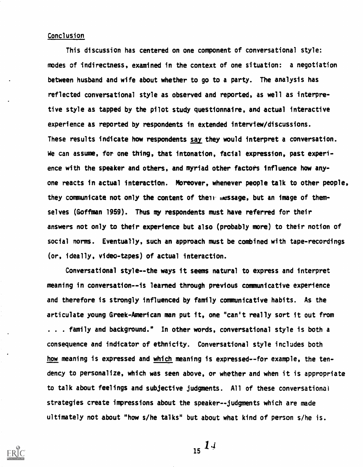#### Conclusion

This discussion has centered on one component of conversational style: modes of indirectness, examined in the context of one situation: a negotiation between husband and wife about whether to go to a party. The analysis has reflected conversational style as observed and reported, as well as interpretive style as tapped by the pilot study questionnaire, and actual interactive experience as reported by respondents in extended interview/discussions. These results indicate how respondents say they would interpret a conversation. We can assume, for one thing, that intonation, facial expression, past experience with the speaker and others, and myriad other factors influence how anyone reacts in actual interaction. Moreover, whenever people talk to other people, they communicate not only the content of thele message, but an image of themselves (Goffman 1959). Thus my respondents must have referred for their answers not only to their experience but also (probably more) to their notion of social norms. Eventually, such an approach must be combined with tape-recordings (or, ideally, video-tapes) of actual interaction.

Conversational style--the ways it seems natural to express and interpret meaning in conversation--is learned through previous communicative experience and therefore is strongly influenced by family communicative habits. As the articulate young Greek-American man put it, one "can't really sort it out from . . . family and background." In other words, conversational style is both a consequence and indicator of ethnicity. Conversational style includes both how meaning is expressed and which meaning is expressed--for example, the tendency to personalize, which was seen above, or whether and when it is appropriate to talk about feelings and subjective judgments. All of these conversational strategies create impressions about the speaker--judgments which are made ultimately not about "how s/he talks" but about what kind of person s/he is.

 $15^{14}$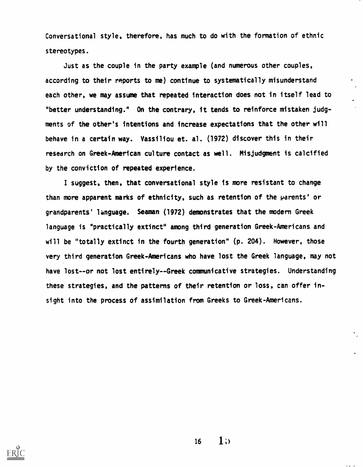Conversational style, therefore, has much to do with the formation of ethnic stereotypes.

Just as the couple in the party example (and numerous other couples, according to their reports to me) continue to systematically misunderstand each other, we may assume that repeated interaction does not in itself lead to "better understanding." On the contrary, it tends to reinforce mistaken judgments of the other's intentions and increase expectations that the other will behave in a certain way. Vassiliou et. al. (1972) discover this in their research on Greek-American culture contact as well. Misjudgment is calcified by the conviction of repeated experience.

I suggest, then, that conversational style is more resistant to change than more apparent marks of ethnicity, such as retention of the parents' or grandparents' language. Seaman (1972) demonstrates that the modern Greek language is "practically extinct" among third generation Greek-Americans and will be "totally extinct in the fourth generation" (p. 204). However, those very third generation Greek-Americans who have lost the Greek language, may not have lost--or not lost entirely--Greek communicative strategies. Understanding these strategies, and the patterns of their retention or loss, can offer insight into the process of assimilation from Greeks to Greek-Americans.



 $15<sub>o</sub>$  $16$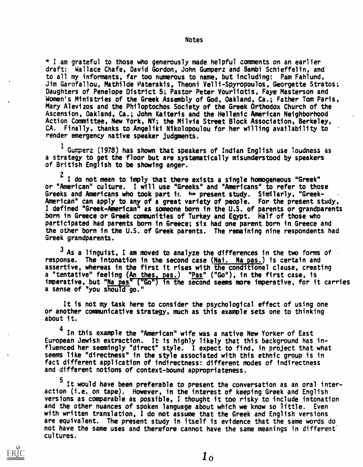\* I am grateful to those who generously made helpful comments on an earlier draft: Wallace Chafe, David Gordon, John Gumperz and Bambi Schieffelin, and to all my informants, far too numerous to name, but including: Pam Fahlund, Jim Garofallou, Mathilde Paterakis, Theoni Velli-Spyropoulos, Georgette Stratos; Daughters of Penelope District 5; Pastor Peter Vourliotis, Faye Masterson and Women's Ministries of the Greek Assembly of God, Oakland, Ca.; Father Tom Paris, Mary Alevizos and the Philoptochos Society of the Greek Orthodox Church of the Ascension, Oakland, Ca.; John Kaiteris and the Hellenic American Neighborhood Action Committee, New York, NY; the Milvia Street Block Association, Berkeley, CA. Finally, thanks to Angeliki Nikolopoulou for her willing availability to render emergency native speaker judgments.

<sup>1</sup> Gumperz (1978) has shown that speakers of Indian English use loudness as a strategy to get the floor but are systematically misunderstood by speakers of British English to be showing anger.

<sup>2</sup> I do not mean to imply that there exists a single homogeneous "Greek" or "American" culture. I will use "Greeks" and "Americans" to refer to those Greeks and Americans who took part in the present study. Similarly, "Greek-American" can apply to any of a great variety of people. For the present study, I defined "Greek-American" as someone born in the U.S. of parents or grandparents born in Greece or Greek communities of Turkey and Egypt. Half of those who participated had parents born in Greece; six had one parent born in Greece and the other born in the U.S. of Greek parents. The remaining nine respondents had Greek grandparents.

 $3$  As a linguist, I am moved to analyze the differences in the two forms of response. The intonation in the second case (Nai. Na pas.) is certain and<br>assertive, whereas in the first it rises with the conditional clause, creating assertive, whereas in the first it rises with the conditional clause, creating a "tentative" feeling (An thes, pas.) "Pas" ("Go"), in the first case, is imperative, but "<u>Na pas</u>" ("Go") in the second seems more imperative, for it carries a sense of "you should go."

It is not my task here to consider the psychological effect of using one or another communicative strategy, much as this example sets one to thinking about it.

<sup>4</sup> In this example the "American" wife was a native New Yorker of East European Jewish extraction. It is highly likely that this background has influenced her seemingly "direct" style. I expect to find, in project that what seems like "directness" in the style associated with this ethnic group is in fact different application of indirectness: different modes of indirectness and different notions of context-bound appropriateness.

It would have been preferable to present the conversation as an oral interaction (i.e. on tape). However, in the interest of keeping Greek and English versions as comparable as possible, I thought it too risky to include intonation and the other nuances of spoken language about which we know so little. Even with written translation, I do not assume that the Greek and English versions are equivalent. The present study in itself is evidence that the same words do not have the same uses and therefore cannot have the same meanings in different' cultures.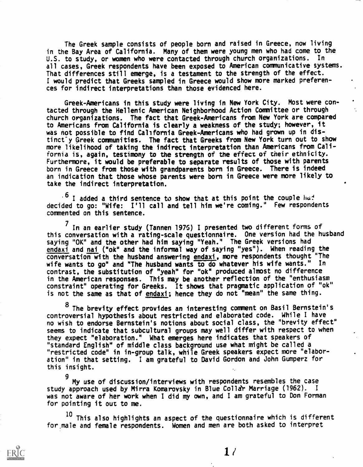The Greek sample consists of people born and raised in Greece, now living in the Bay Area of California. Many of them were young men who had come to the U.S. to study, or women who were contacted through church organizations. In all cases, Greek respondents have been exposed to American communicative systems. That differences still emerge, is a testament to the strength of the effect. I would predict that Greeks sampled in Greece would show more marked preferences for indirect interpretations than those evidenced here.

Greek-Americans in this study were living in New York City. Most were contacted through the Hellenic American Neighborhood Action Committee or through church organizations. The fact that Greek-Americans from New York are compared to Americans from California is clearly a weakness of the study; however, it was not possible to find California Greek-Americans who had grown up in distinct<sup>-</sup>y Greek communities. The fact that Greeks from New York turn out to show more likelihood of taking the indirect interpretation than Americans from California is, again, testimony to the strength of the effect of their ethnicity. Furthermore, it would be preferable to separate results of those with parents born in Greece from those with grandparents born in Greece. There is indeed an indication that those whose parents were born in Greece were more likely to take the indirect interpretation.

 $^{+6}$  I added a third sentence to show that at this point the couple had decided to go: "Wife: I'll call and tell him we're coming." Few respondents commented on this sentence.

<sup>7</sup> In an earlier study (Tannen 1976) I presented two different forms of this conversation with a rating-scale questionnaire. One version had the husband saying "OK" and the other had him saying "Yeah." The Greek versions had endaxi and nai ("ok" and the informal way of saying "yes"). When reading the conversation with the husband answering endaxi, more respondents thought "The wife wants to go" and "The husband wants to do whatever his wife wants." In contrast, the substitution of "yeah" for "ok" produced almost no difference in the American responses. This may be another reflection of the "enthusiasm constraint" operating for Greeks. It shows that pragmatic application of "ok" is not the same as that of endaxi; hence they do not "mean" the same thing.

<sup>8</sup> The brevity effect provides an interesting comment on Basil Bernstein's controversial hypothesis about restricted and elaborated code. While I have no wish to endorse Bernstein's notions about social class, the "brevity effect" seems to indicate that subcultural groups may well differ with respect to when they expect "elaboration." What emerges here indicates that speakers of "standard English" of middle class background use what might be called a "restricted code" in in-group talk, while Greek speakers expect more "elaboration" in that setting. I am grateful to David Gordon and John Gumperz for this insight.

My use of discussion/interviews with respondents resembles the case study approach used by Mirra Komarovsky in Blue Collar Marriage (1962). <sup>I</sup> was not aware of her work when I did my own, and I am grateful to Don Forman for pointing it out to me.

10 This also highlights an aspect of the questionnaire which is different for male and female respondents. Women and men are both asked to interpret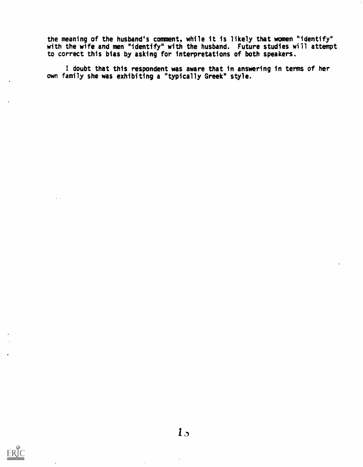the meaning of the husband's comment, while it is likely that women "identify" with the wife and men "identify" with the husband. Future studies will attempt to correct this bias by asking for interpretations of both speakers.

I doubt that this respondent was aware that in answering in terms of her own family she was exhibiting a "typically Greek" style.



 $\ddot{\phantom{a}}$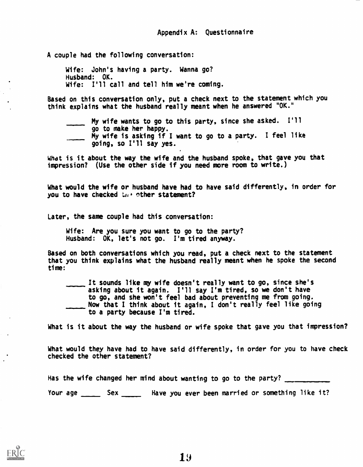A couple had the following conversation:

Wife: John's having a party. Wanna go? Husband: OK. Wife: I'll call and tell him we're coming.

Based on this conversation only, put a check next to the statement which you think explains what the husband really meant when he answered "OK."

My wife wants to go to this party, since she asked. I'll<br>go to make her happy. go to make her happy. My wife is asking if I want to go to a party. I feel like going, so I'll say yes.

What is it about the way the wife and the husband spoke, that gave you that impression? (Use the other side if you need more room to write.)

What would the wife or husband have had to have said differently, in order for you to have checked the other statement?

Later, the same couple had this conversation:

Wife: Are you sure you want to go to the party? Husband: OK, let's not go. I'm tired anyway.

Based on both conversations which you read, put a check next to the statement that you think explains what the husband really meant when he spoke the second time:

It sounds like my wife doesn't really want to go, since she's asking about it again. I'll say I'm tired, so we don't have to go, and she won't feel bad about preventing me from going. Now that I think about it again, I don't really feel like going to a party because I'm tired.

What is it about the way the husband or wife spoke that gave you that impression?

What would they have had to have said differently, in order for you to have check checked the other statement?

Has the wife changed her mind about wanting to go to the party?

Your age Sex Bex Have you ever been married or something like it?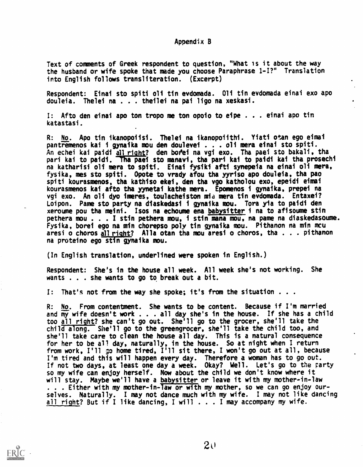#### Appendix B

Text of comments of Greek respondent to question, "What is it about the way the husband or wife spoke that made you choose Paraphrase 1-I?" Translation into English follows transliteration. (Excerpt)

Respondent: Einai sto spiti oli tin evdomada. Oli tin evdomada einai exo apo douleia. Thelei na . . . theilei na pai ligo na xeskasi.

I: Afto den einai apo ton tropo me ton opoio to eipe . . . einai apo tin katastasi.

R: No. Apo tin ikanopoiisi. Thelei na ikanopoiithi. Yiati otan ego eimai pantremenos kai i gynaika mou den doulevei . . . oli mera einai sto spiti. An echei kai paidi <u>all right</u>? d**en borei na vgi exo. Tha pae**i sto bakali, tha<sub>..</sub>. pari kai to paidi. Tha paei sto manavi, tha pari kai to paidi kai tha prosechi na katharisi oli mere to spiti. Einai fysiki afti synepeia na einai oli mere, fysika, mes sto spiti. Opote to vrady afou the yyriso apo douleia, tha pao spiti kourasmenos, tha kathiso ekei, den tha vgo katholou exo, epeidi eimai kourasmenos kai afto tha yynetai kathe mere. Epomenos i gynaika, prepei na vgi exo. An oli dyo imeres, toulacheiston mia mera tin evdomada. Entaxei? Loipon. Pame sto party na diaskedasi i gynaika mou. Tora yia to paidi den xeroume you the meini. Isos na echoume ena babysitter i na to afisoume stin pethera mou . . . I stin pethera mou, i stin mana mou, na pame na diaskedasoume. Fysika, borei ego na min chorepso poly tin gynaika mou. Pithanon na min mcu aresi o choros all right? Alla otan tha mou aresi o choros, tha  $\ldots$  pithanon na proteino ego stin gynaika mou.

(In English translation, underlined were spoken in English.)

Respondent: She's in the house all week. All week she's not working. She wants . . . she wants to go to break out a bit.

I: That's not from the way she spoke; it's from the situation . . .

R: No. From contentment. She wants to be content. Because if I'm married and my wife doesn't work . . . all day she's in the house. If she has a child too all right? she can't go out. She'll go to the grocer, she'll take the child along. She'll go to the greengrocer, she'll take the child too, and she'll take care to clean the house all day. This is a natural consequence for her to be all day, naturally, in the house. So at night when I return from work, I'll go home tired, I'll sit there, I won't go out at all, because I'm tired and this will happen every day. Therefore a woman has to go out. If not two days, at least one day a week. Okay? Well. Let's go to the party so my wife can enjoy herself. Now about the child we don't know where it will stay. Maybe we'll have a **babysitter** or leave it with my mother-in-law . . Either with my mother-in-law or with my mother, so we can go enjoy ourselves. Naturally. I may not dance much with my wife. I may not like dancing all right? But if I like dancing, I will . . . I may accompany my wife.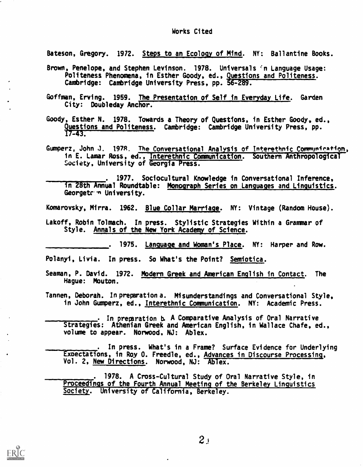Bateson, Gregory. 1972. <u>Steps to an Ecology of Mind</u>. NY: Ballantine Books.

- Brown, Penelope, and Stephen Levinson. 1978. Universals n Language Usage: Politeness Phenomena, in Esther Goody, ed., Questions and Politeness. Cambridge: Cambridge University Press, pp. 56-289.
- Goffman, Erving. 1959. The Presentation of Self in Everyday Life. Garden City: Doubleday Anchor.
- Goody, Esther N. 1978. Towards a Theory of Questions, in Esther Goody, ed., Questions and Politeness. Cambridge: Cambridge University Press, pp.<br>17-43.
- Gumperz, John J. 197R. The Conversational Analysis of Interethnic Communiration, in E. Lamar Ross, ed., Interethnic Communication. Southern Anthropological society, University of Georgia Press.
- . 1977. Sociocultural Knowledge in Conversational Inference, in 28th Annual Roundtable: Monograph Series on Languages and Linguistics. Georgetcen University.

Komarovsky, Mirra. 1962. Blue Collar Marriage. NY: Vintage (Random House).

Lakoff, Robin Tolmach. In press. Stylistic Strategies Within a Grammar of Style. Annals of the New York Academy of Science.

. 1975. Language and Woman's Place. NY: Harper and Row.

Polanyi, Livia. In press. So What's the Point? Semiotica.

- Seaman, P. David. 1972. Modern Greek and American English in Contact. The Hague: Mouton.
- Tannen, Deborah. In preparation a. Misunderstandings and Conversational Style, in John Gumperz, ed., Interethnic Communication. NY: Academic Press.
	- In preparation LI A Comparative Analysis of Oral Narrative Strategies: Athenian Greek and American English, in Wallace Chafe, ed., volume to appear. Norwood, NJ: Ablex.
		- . In press. What's in a Frame? Surface Evidence for Underlying Expectations, in Roy O. Freedle, ed., Advances in Discourse Processing, Vol. 2, New Directions. Norwood, NJ: Ablex.
	- . 1978. A Cross-Cultural Study of Oral Narrative Style, in Proceedings of the Fourth Annual Meeting of the Berkeley Linguistics Society. University of California, Berkeley.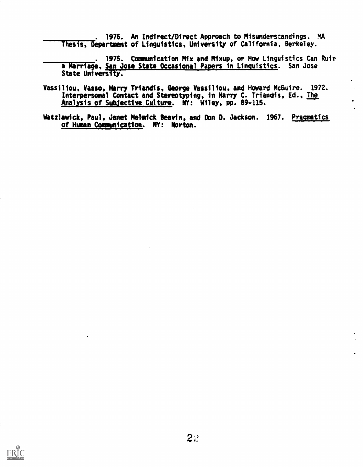. 1976. An Indirect/Direct Approach to Misunderstandings. MA Thesis, Department of Linguistics, University of California, Berkeley.

. 1975. Communication Mix and Mixup, or How Linguistics Can Ruin a Marriage, San Jose State Occasional Papers in Linguistics. San Jose State University.

Yassiliou, Vasso, Harry Triandis, George Vassiliou, and Howard McGuire. 1972. Interpersonal Contact and Stereotyping, in Harry C. Triandis, Ed., The Analysis of Subjective Culture. NY: Wiley, pp. 89-115.

Watzlawick, Paul, Janet Helmick Beavin, and Don D. Jackson. 1967. pragmatics of Human Communication. NY: Norton.